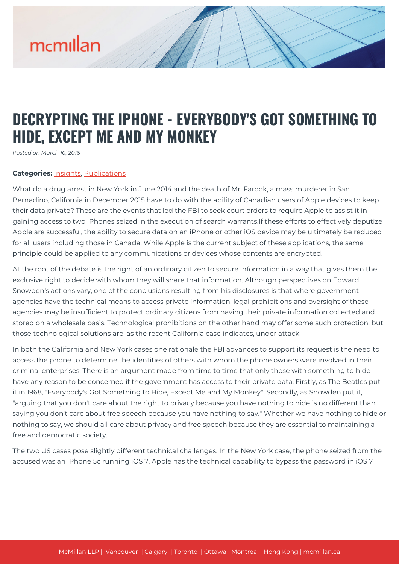# mcmillan

### **DECRYPTING THE IPHONE - EVERYBODY'S GOT SOMETHING TO HIDE, EXCEPT ME AND MY MONKEY**

*Posted on March 10, 2016*

#### **Categories:** [Insights,](https://mcmillan.ca/insights/) [Publications](https://mcmillan.ca/insights/publications/)

What do a drug arrest in New York in June 2014 and the death of Mr. Farook, a mass murderer in San Bernadino, California in December 2015 have to do with the ability of Canadian users of Apple devices to keep their data private? These are the events that led the FBI to seek court orders to require Apple to assist it in gaining access to two iPhones seized in the execution of search warrants.If these efforts to effectively deputize Apple are successful, the ability to secure data on an iPhone or other iOS device may be ultimately be reduced for all users including those in Canada. While Apple is the current subject of these applications, the same principle could be applied to any communications or devices whose contents are encrypted.

At the root of the debate is the right of an ordinary citizen to secure information in a way that gives them the exclusive right to decide with whom they will share that information. Although perspectives on Edward Snowden's actions vary, one of the conclusions resulting from his disclosures is that where government agencies have the technical means to access private information, legal prohibitions and oversight of these agencies may be insufficient to protect ordinary citizens from having their private information collected and stored on a wholesale basis. Technological prohibitions on the other hand may offer some such protection, but those technological solutions are, as the recent California case indicates, under attack.

In both the California and New York cases one rationale the FBI advances to support its request is the need to access the phone to determine the identities of others with whom the phone owners were involved in their criminal enterprises. There is an argument made from time to time that only those with something to hide have any reason to be concerned if the government has access to their private data. Firstly, as The Beatles put it in 1968, "Everybody's Got Something to Hide, Except Me and My Monkey". Secondly, as Snowden put it, "arguing that you don't care about the right to privacy because you have nothing to hide is no different than saying you don't care about free speech because you have nothing to say." Whether we have nothing to hide or nothing to say, we should all care about privacy and free speech because they are essential to maintaining a free and democratic society.

The two US cases pose slightly different technical challenges. In the New York case, the phone seized from the accused was an iPhone 5c running iOS 7. Apple has the technical capability to bypass the password in iOS 7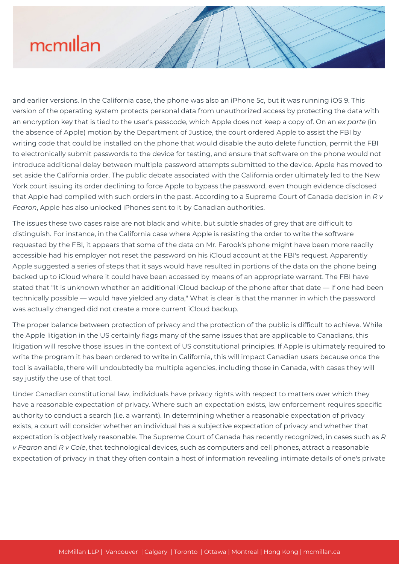## mcmillan

and earlier versions. In the California case, the phone was also an iPhone 5c, but it was running iOS 9. This version of the operating system protects personal data from unauthorized access by protecting the data with an encryption key that is tied to the user's passcode, which Apple does not keep a copy of. On an *ex parte* (in the absence of Apple) motion by the Department of Justice, the court ordered Apple to assist the FBI by writing code that could be installed on the phone that would disable the auto delete function, permit the FBI to electronically submit passwords to the device for testing, and ensure that software on the phone would not introduce additional delay between multiple password attempts submitted to the device. Apple has moved to set aside the California order. The public debate associated with the California order ultimately led to the New York court issuing its order declining to force Apple to bypass the password, even though evidence disclosed that Apple had complied with such orders in the past. According to a Supreme Court of Canada decision in *R v Fearon*, Apple has also unlocked iPhones sent to it by Canadian authorities.

The issues these two cases raise are not black and white, but subtle shades of grey that are difficult to distinguish. For instance, in the California case where Apple is resisting the order to write the software requested by the FBI, it appears that some of the data on Mr. Farook's phone might have been more readily accessible had his employer not reset the password on his iCloud account at the FBI's request. Apparently Apple suggested a series of steps that it says would have resulted in portions of the data on the phone being backed up to iCloud where it could have been accessed by means of an appropriate warrant. The FBI have stated that "It is unknown whether an additional iCloud backup of the phone after that date — if one had been technically possible — would have yielded any data," What is clear is that the manner in which the password was actually changed did not create a more current iCloud backup.

The proper balance between protection of privacy and the protection of the public is difficult to achieve. While the Apple litigation in the US certainly flags many of the same issues that are applicable to Canadians, this litigation will resolve those issues in the context of US constitutional principles. If Apple is ultimately required to write the program it has been ordered to write in California, this will impact Canadian users because once the tool is available, there will undoubtedly be multiple agencies, including those in Canada, with cases they will say justify the use of that tool.

Under Canadian constitutional law, individuals have privacy rights with respect to matters over which they have a reasonable expectation of privacy. Where such an expectation exists, law enforcement requires specific authority to conduct a search (i.e. a warrant). In determining whether a reasonable expectation of privacy exists, a court will consider whether an individual has a subjective expectation of privacy and whether that expectation is objectively reasonable. The Supreme Court of Canada has recently recognized, in cases such as *R v Fearon* and *R v Cole*, that technological devices, such as computers and cell phones, attract a reasonable expectation of privacy in that they often contain a host of information revealing intimate details of one's private